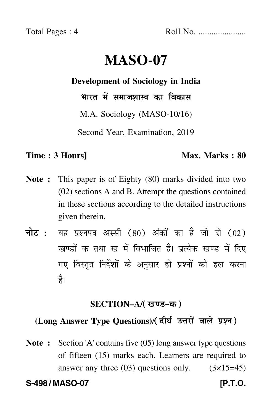Total Pages : 4 Roll No. ......................

# **MASO-07**

#### **Development of Sociology in India**

भारत में समाजशास्त्र का विकास

M.A. Sociology (MASO-10/16)

Second Year, Examination, 2019

### **Time : 3 Hours]** Max. Marks : 80

- **Note :** This paper is of Eighty (80) marks divided into two (02) sections A and B. Attempt the questions contained in these sections according to the detailed instructions given therein.
- नोट : यह प्रश्नपत्र अस्सी (80) अंकों का है जो दो (02) खण्डों क तथा ख में विभाजित है। प्रत्येक खण्ड में दिए गए विस्तृत निर्देशों के अनुसार ही प्रश्नों को हल करन<mark>ा</mark> है।

# <u>SECTION–A</u>/( खण्ड-क )

# (Long Answer Type Questions)/( दीर्घ उत्तरों वाले प्रश्न )

**Note :** Section 'A' contains five (05) long answer type questions of fifteen (15) marks each. Learners are required to answer any three  $(03)$  questions only.  $(3\times15=45)$ 

**S-498 / MASO-07 [P.T.O.**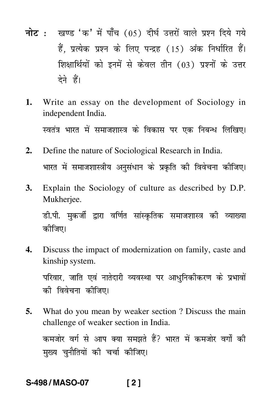- <mark>नोट</mark> : खण्ड 'क' में पाँच (05) दीर्घ उत्तरों वाले प्रश्न दिये गये हैं, प्रत्येक प्रश्न के लिए पन्द्रह (15) अंक निर्धारित हैं। शिक्षार्थियों को इनमें से केवल तीन (03) प्रश्नों के उत्तर देने हैं।
- **1.** Write an essay on the development of Sociology in independent India.

स्वतंत्र भारत में समाजशास्त्र के विकास पर एक निबन्ध लिखिए।

- **2.** Define the nature of Sociological Research in India. भारत में समाजशास्त्रीय अनुसंधान के प्रकृति की विवेचना कीजिए।
- **3.** Explain the Sociology of culture as described by D.P. Mukherjee.

डी.पी. मुकर्जी द्वारा वर्णित सांस्कृतिक समाजशास्त्र की व्याख्या कीजिए।

**4.** Discuss the impact of modernization on family, caste and kinship system.

परिवार, जाति एवं नातेदारी व्यवस्था पर आधुनिकीकरण के प्रभावों को विवेचना कीजिए।

**5.** What do you mean by weaker section ? Discuss the main challenge of weaker section in India. कमजोर वर्ग से आप क्या समझते हैं? भारत में कमजोर वर्गों की मुख्य चुनौतियों की चर्चा कीजिए।

# **S-498 / MASO-07 [ 2 ]**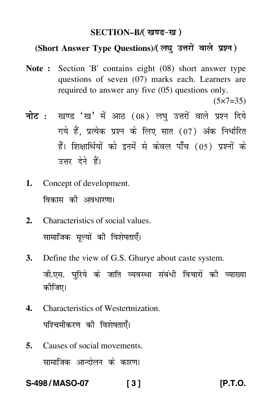## SECTION–B/( खण्ड-ख )

## (Short Answer Type Questions)/(लघु उत्तरों वाले प्रश्न)

**Note :** Section 'B' contains eight (08) short answer type questions of seven (07) marks each. Learners are required to answer any five (05) questions only.

 $(5 \times 7 = 35)$ 

- <mark>नोट</mark> : खण्ड 'ख' में आठ (08) लघु उत्तरों वाले प्रश्न दिये गये हैं, प्रत्येक प्रश्न के लिए सात (07) अंक निर्धारित हैं। शिक्षार्थियों को इनमें से केवल पाँच (05) प्रश्नों के उत्तर देने हैं।
- **1.** Concept of development. विकास की अव<mark>धारणा।</mark>
- **2.** Characteristics of social values. सामाजिक मूल्यों की विशेषताएँ।
- **3.** Define the view of G.S. Ghurye about caste system. जी.एस. घुरिये के जाति व्यवस्था संबंधी विचारों की व्याख्या कीजिए।
- **4.** Characteristics of Westertnization. पश्चिमीकरण की विशेषताएँ।
- **5.** Causes of social movements. सामाजिक आन्दोलन के कारण।

**S-498 / MASO-07 [ 3 ] [P.T.O.**